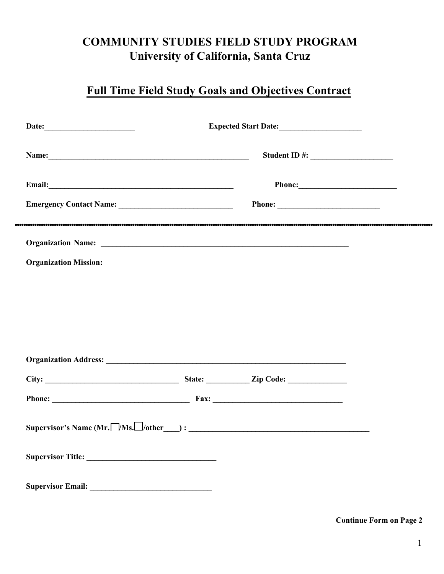## **COMMUNITY STUDIES FIELD STUDY PROGRAM University of California, Santa Cruz**

## **Full Time Field Study Goals and Objectives Contract**

|                                                                                                                                                                                                                                      | Expected Start Date: |  |  |
|--------------------------------------------------------------------------------------------------------------------------------------------------------------------------------------------------------------------------------------|----------------------|--|--|
|                                                                                                                                                                                                                                      |                      |  |  |
| Email: <u>Alexandre and Alexandre and Alexandre and Alexandre and Alexandre and Alexandre and Alexandre and Alexandre and Alexandre and Alexandre and Alexandre and Alexandre and Alexandre and Alexandre and Alexandre and Alex</u> |                      |  |  |
|                                                                                                                                                                                                                                      |                      |  |  |
|                                                                                                                                                                                                                                      |                      |  |  |
| <b>Organization Mission:</b>                                                                                                                                                                                                         |                      |  |  |
|                                                                                                                                                                                                                                      |                      |  |  |
|                                                                                                                                                                                                                                      |                      |  |  |
|                                                                                                                                                                                                                                      |                      |  |  |
|                                                                                                                                                                                                                                      |                      |  |  |
|                                                                                                                                                                                                                                      |                      |  |  |
|                                                                                                                                                                                                                                      |                      |  |  |
| Supervisor's Name (Mr. $\Box/Ms$ . $\Box$ /other $\Box$ ) : $\Box$                                                                                                                                                                   |                      |  |  |
|                                                                                                                                                                                                                                      |                      |  |  |
|                                                                                                                                                                                                                                      |                      |  |  |

**Continue Form on Page 2**